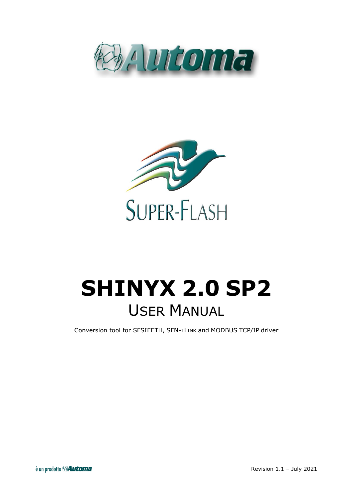



# **SHINYX 2.0 SP2** USER MANUAL

Conversion tool for SFSIEETH, SFNETLINK and MODBUS TCP/IP driver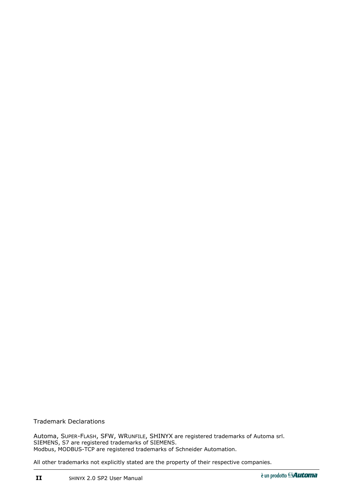Trademark Declarations

Automa, SUPER-FLASH, SFW, WRUNFILE, SHINYX are registered trademarks of Automa srl. SIEMENS, S7 are registered trademarks of SIEMENS. Modbus, MODBUS-TCP are registered trademarks of Schneider Automation.

All other trademarks not explicitly stated are the property of their respective companies.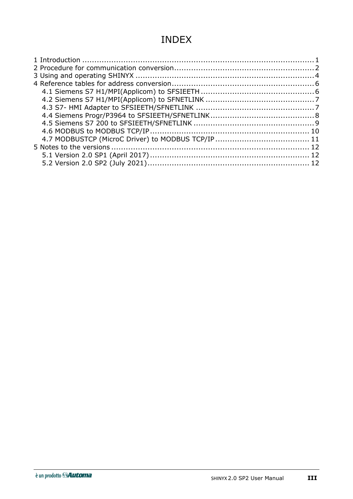# INDEX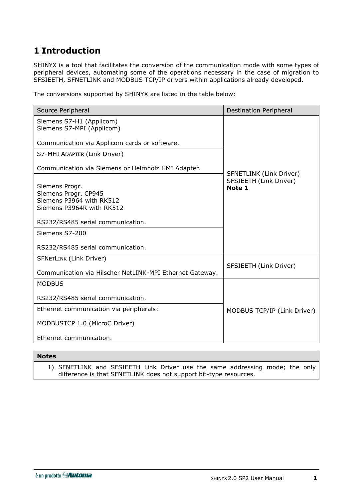# <span id="page-4-0"></span>**1 Introduction**

SHINYX is a tool that facilitates the conversion of the communication mode with some types of peripheral devices, automating some of the operations necessary in the case of migration to SFSIEETH, SFNETLINK and MODBUS TCP/IP drivers within applications already developed.

The conversions supported by SHINYX are listed in the table below:

| Source Peripheral                                        | <b>Destination Peripheral</b>                     |
|----------------------------------------------------------|---------------------------------------------------|
| Siemens S7-H1 (Applicom)                                 |                                                   |
| Siemens S7-MPI (Applicom)                                |                                                   |
| Communication via Applicom cards or software.            |                                                   |
| S7-MHI ADAPTER (Link Driver)                             |                                                   |
| Communication via Siemens or Helmholz HMI Adapter.       |                                                   |
|                                                          | SFNETLINK (Link Driver)<br>SFSIEETH (Link Driver) |
| Siemens Progr.<br>Siemens Progr. CP945                   | Note 1                                            |
| Siemens P3964 with RK512                                 |                                                   |
| Siemens P3964R with RK512                                |                                                   |
| RS232/RS485 serial communication.                        |                                                   |
| Siemens S7-200                                           |                                                   |
| RS232/RS485 serial communication.                        |                                                   |
| <b>SFNETLINK (Link Driver)</b>                           |                                                   |
| Communication via Hilscher NetLINK-MPI Ethernet Gateway. | SFSIEETH (Link Driver)                            |
| <b>MODBUS</b>                                            |                                                   |
| RS232/RS485 serial communication.                        |                                                   |
| Ethernet communication via peripherals:                  | MODBUS TCP/IP (Link Driver)                       |
| MODBUSTCP 1.0 (MicroC Driver)                            |                                                   |
| Ethernet communication.                                  |                                                   |

#### **Notes**

1) SFNETLINK and SFSIEETH Link Driver use the same addressing mode; the only difference is that SFNETLINK does not support bit-type resources.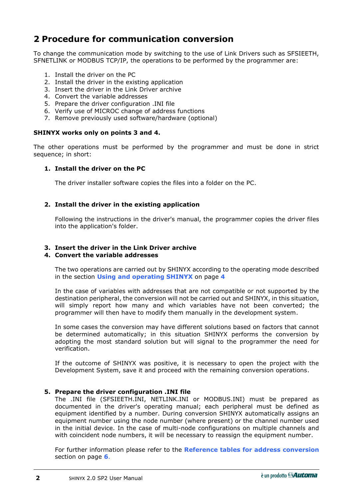# <span id="page-5-0"></span>**2 Procedure for communication conversion**

To change the communication mode by switching to the use of Link Drivers such as SFSIEETH, SFNETLINK or MODBUS TCP/IP, the operations to be performed by the programmer are:

- 1. Install the driver on the PC
- 2. Install the driver in the existing application
- 3. Insert the driver in the Link Driver archive
- 4. Convert the variable addresses
- 5. Prepare the driver configuration .INI file
- 6. Verify use of MICROC change of address functions
- 7. Remove previously used software/hardware (optional)

#### **SHINYX works only on points 3 and 4.**

The other operations must be performed by the programmer and must be done in strict sequence; in short:

#### **1. Install the driver on the PC**

The driver installer software copies the files into a folder on the PC.

#### **2. Install the driver in the existing application**

Following the instructions in the driver's manual, the programmer copies the driver files into the application's folder.

#### **3. Insert the driver in the Link Driver archive**

#### **4. Convert the variable addresses**

The two operations are carried out by SHINYX according to the operating mode described in the section **[Using and operating SHINYX](#page-7-0)** on page **[4](#page-7-0)**

In the case of variables with addresses that are not compatible or not supported by the destination peripheral, the conversion will not be carried out and SHINYX, in this situation, will simply report how many and which variables have not been converted; the programmer will then have to modify them manually in the development system.

In some cases the conversion may have different solutions based on factors that cannot be determined automatically; in this situation SHINYX performs the conversion by adopting the most standard solution but will signal to the programmer the need for verification.

If the outcome of SHINYX was positive, it is necessary to open the project with the Development System, save it and proceed with the remaining conversion operations.

#### **5. Prepare the driver configuration .INI file**

The .INI file (SFSIEETH.INI, NETLINK.INI or MODBUS.INI) must be prepared as documented in the driver's operating manual; each peripheral must be defined as equipment identified by a number. During conversion SHINYX automatically assigns an equipment number using the node number (where present) or the channel number used in the initial device. In the case of multi-node configurations on multiple channels and with coincident node numbers, it will be necessary to reassign the equipment number.

For further information please refer to the **[Reference tables for address conversion](#page-9-0)** section on page **[6](#page-9-0)**.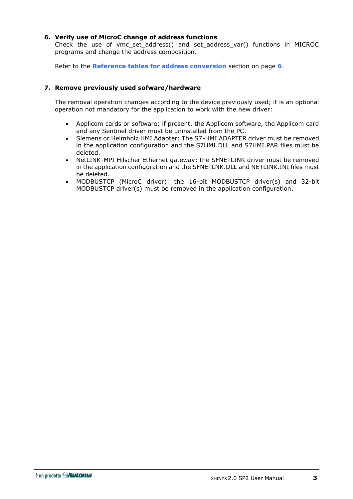#### **6. Verify use of MicroC change of address functions**

Check the use of vmc\_set\_address() and set\_address\_var() functions in MICROC programs and change the address composition.

Refer to the **[Reference tables for address conversion](#page-9-0)** section on page **[6](#page-9-0)**.

#### **7. Remove previously used sofware/hardware**

The removal operation changes according to the device previously used; it is an optional operation not mandatory for the application to work with the new driver:

- Applicom cards or software: if present, the Applicom software, the Applicom card and any Sentinel driver must be uninstalled from the PC.
- Siemens or Helmholz HMI Adapter: The S7-HMI ADAPTER driver must be removed in the application configuration and the S7HMI.DLL and S7HMI.PAR files must be deleted.
- NetLINK-MPI Hilscher Ethernet gateway: the SFNETLINK driver must be removed in the application configuration and the SFNETLNK.DLL and NETLINK.INI files must be deleted.
- MODBUSTCP (MicroC driver): the 16-bit MODBUSTCP driver(s) and 32-bit MODBUSTCP driver(s) must be removed in the application configuration.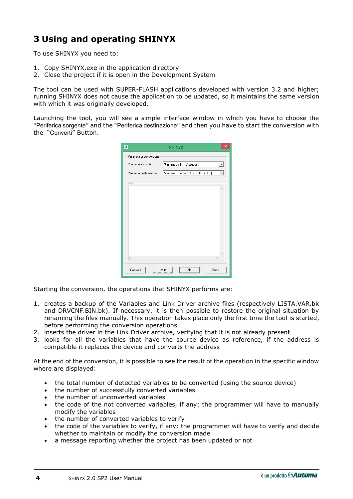# <span id="page-7-0"></span>**3 Using and operating SHINYX**

To use SHINYX you need to:

- 1. Copy SHINYX.exe in the application directory
- 2. Close the project if it is open in the Development System

The tool can be used with SUPER-FLASH applications developed with version 3.2 and higher; running SHINYX does not cause the application to be updated, so it maintains the same version with which it was originally developed.

Launching the tool, you will see a simple interface window in which you have to choose the "Periferica sorgente" and the "Periferica destinazione" and then you have to start the conversion with the "Converti" Button.

| ø.                       | <b>SHINYX</b>                      | ×                        |
|--------------------------|------------------------------------|--------------------------|
| Parametri di conversione |                                    |                          |
| Periferica sorgente      | Siemens S7-H1 (Applicom)           | $\overline{\phantom{a}}$ |
| Periferica destinazione  | Siemens Ethernet (SFSIEETH v. 1.1) |                          |
| Esito                    |                                    |                          |
|                          |                                    | ٨                        |
|                          |                                    |                          |
|                          |                                    |                          |
|                          |                                    |                          |
|                          |                                    |                          |
|                          |                                    |                          |
|                          |                                    |                          |
|                          |                                    |                          |
| €                        | $\rightarrow$                      |                          |
| Converti<br>Hscita       | About<br>Help                      |                          |

Starting the conversion, the operations that SHINYX performs are:

- 1. creates a backup of the Variables and Link Driver archive files (respectively LISTA.VAR.bk and DRVCNF.BIN.bk). If necessary, it is then possible to restore the original situation by renaming the files manually. This operation takes place only the first time the tool is started, before performing the conversion operations
- 2. inserts the driver in the Link Driver archive, verifying that it is not already present
- 3. looks for all the variables that have the source device as reference, if the address is compatible it replaces the device and converts the address

At the end of the conversion, it is possible to see the result of the operation in the specific window where are displayed:

- the total number of detected variables to be converted (using the source device)
- the number of successfully converted variables
- the number of unconverted variables
- the code of the not converted variables, if any: the programmer will have to manually modify the variables
- the number of converted variables to verify
- the code of the variables to verify, if any: the programmer will have to verify and decide whether to maintain or modify the conversion made
- a message reporting whether the project has been updated or not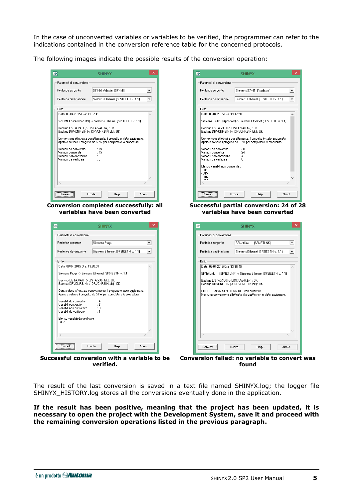In the case of unconverted variables or variables to be verified, the programmer can refer to the indications contained in the conversion reference table for the concerned protocols.

The following images indicate the possible results of the conversion operation:

| Parametri di conversione                                                                                 |                                                                                                                                           |                          |
|----------------------------------------------------------------------------------------------------------|-------------------------------------------------------------------------------------------------------------------------------------------|--------------------------|
| Periferica sorgente                                                                                      | S7 HMI Adapter (S7HMI)                                                                                                                    | $\vert$                  |
| Periferica destinazione                                                                                  | Siemens Ethernet (SFSIEETH v. 1.1)                                                                                                        | $\overline{\phantom{a}}$ |
| Esito                                                                                                    |                                                                                                                                           |                          |
| Data: 08-04-2015 Ora: 13:07:41                                                                           | S7 HMI Adapter (S7HMI) -> Siemens Ethernet (SFSIEETH v. 1.1)                                                                              |                          |
| Backup LISTA, VAR (-> LISTA, VAR, bk) : OK<br>Backup DRVCNF.BIN (-> DRVCNF.BIN.bk) : OK                  |                                                                                                                                           |                          |
|                                                                                                          | Conversione effettuata correttamente: il progetto è stato aggiornato.<br>Aprire e salvare il progetto da SFW per completare la procedura. |                          |
| Variabili da convertire :<br>Variabili convertite<br>Variabili non convertite<br>Variabili da verificare | : 15<br>:15<br>$\pm 0$<br>$\pm 0$                                                                                                         |                          |
|                                                                                                          |                                                                                                                                           |                          |
| <                                                                                                        |                                                                                                                                           |                          |
| Converti                                                                                                 | Uscita<br>Help                                                                                                                            | About                    |
|                                                                                                          | Conversion completed successfully: all                                                                                                    |                          |
|                                                                                                          | variables have been converted                                                                                                             |                          |

| Periferica sorgente                                   | Siemens Progr.                                                                                                                            |   |
|-------------------------------------------------------|-------------------------------------------------------------------------------------------------------------------------------------------|---|
| Periferica destinazione                               | Siemens Ethernet (SFSIEETH v. 1.1)                                                                                                        |   |
| Esito                                                 |                                                                                                                                           |   |
| Data: 08-04-2015 Ora: 13:20:01                        |                                                                                                                                           |   |
|                                                       | Siemens Progr. > Siemens Ethernet (SFSIEETH v. 1.1)                                                                                       |   |
| Backup LISTA.VAR (-> LISTA.VAR.bk) : OK               | Backup DRVCNF.BIN (-> DRVCNF.BIN.bk) : OK                                                                                                 |   |
|                                                       | Conversione effettuata correttamente: il progetto è stato aggiornato.<br>Aprire e salvare il progetto da SFW per completare la procedura. |   |
| Variabili da convertire<br>Variabili convertite       | : 4<br>: 3                                                                                                                                |   |
| Variabili non convertite.<br>Variabili da verificare. | : 0<br>$\cdot$ 1                                                                                                                          |   |
|                                                       |                                                                                                                                           |   |
| Elenco variabili da verificare :<br>$-402$            |                                                                                                                                           |   |
|                                                       |                                                                                                                                           |   |
|                                                       |                                                                                                                                           | ъ |
| e                                                     |                                                                                                                                           |   |

**verified.**

| <b>SHINYX</b>                                                                                                                             | ×                        |
|-------------------------------------------------------------------------------------------------------------------------------------------|--------------------------|
| Parametri di conversione                                                                                                                  |                          |
| Periferica sorgente<br>Siemens S7-H1 (Applicom)                                                                                           |                          |
| Periferica destinazione<br>Siemens Ethernet (SFSIEETH v. 1.1)                                                                             | $\overline{\phantom{a}}$ |
| Esito                                                                                                                                     |                          |
| Data: 08-04-2015 Ora: 13:17:50                                                                                                            | ∧                        |
| Siemens S7-H1 (Applicom) > Siemens Ethernet (SFSIEETH v. 1.1)                                                                             |                          |
| Backup LISTA, VAR (-> LISTA, VAR, bk) : OK<br>Backup DRVCNF.BIN (-> DRVCNF.BIN.bk) : OK                                                   |                          |
| Conversione effettuata correttamente: il progetto è stato aggiornato.<br>Aprire e salvare il progetto da SFW per completare la procedura. |                          |
| Variabili da convertire.<br>: 28<br>: 24<br>Variabili convertite<br>Variabili non convertite<br>:4<br>Variabili da verificare.<br>٠Λ      |                          |
| Elenco variabili non convertite :<br>$-314$<br>$-315$<br>$-316$                                                                           |                          |
| 917                                                                                                                                       |                          |
| <br>Hscita<br>Help<br>Linnverti                                                                                                           | About                    |

**Successful partial conversion: 24 of 28 variables have been converted**

| ×<br>ø<br><b>SHINYX</b>                                                                                        |  |  |
|----------------------------------------------------------------------------------------------------------------|--|--|
| Parametri di conversione                                                                                       |  |  |
| SFNetLink<br>Periferica sorgente<br>(SFNETLNK)                                                                 |  |  |
| Periferica destinazione<br>Siemens Ethernet (SFSIEETH v. 1.1)                                                  |  |  |
| Esito                                                                                                          |  |  |
| Data: 08-04-2015 Ora: 13:18:49                                                                                 |  |  |
| SFNetLink<br>(SFNETLNK) -> Siemens Ethernet (SFSIEETH v. 1.1)                                                  |  |  |
| Backup LISTA.VAR (-> LISTA.VAR.bk) : OK<br>Backup DRVCNF.BIN (-> DRVCNF.BIN.bk) : OK                           |  |  |
| ERRORE driver SFNETLNK.DLL non presente<br>Nessuna conversione effettuata: il progetto non è stato aggiornato. |  |  |
|                                                                                                                |  |  |
|                                                                                                                |  |  |
|                                                                                                                |  |  |
|                                                                                                                |  |  |
|                                                                                                                |  |  |
| 5                                                                                                              |  |  |
| <br>Uscita<br>Help<br>About<br>Converti                                                                        |  |  |

**Successful conversion with a variable to be Conversion failed: no variable to convert was found**

The result of the last conversion is saved in a text file named SHINYX.log; the logger file SHINYX HISTORY.log stores all the conversions eventually done in the application.

#### **If the result has been positive, meaning that the project has been updated, it is necessary to open the project with the Development System, save it and proceed with the remaining conversion operations listed in the previous paragraph.**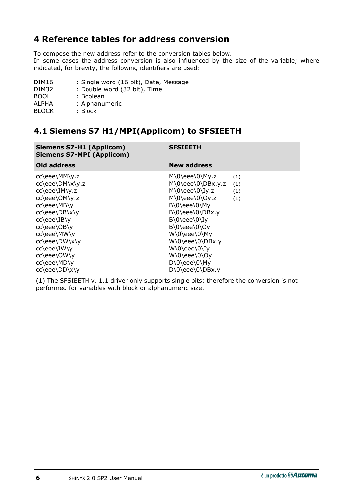# <span id="page-9-0"></span>**4 Reference tables for address conversion**

To compose the new address refer to the conversion tables below.

In some cases the address conversion is also influenced by the size of the variable; where indicated, for brevity, the following identifiers are used:

| DIM <sub>16</sub> | : Single word (16 bit), Date, Message |
|-------------------|---------------------------------------|
| DIM32             | : Double word (32 bit), Time          |
| <b>BOOL</b>       | : Boolean                             |
| ALPHA             | : Alphanumeric                        |
| <b>BLOCK</b>      | : Block                               |

# <span id="page-9-1"></span>**4.1 Siemens S7 H1/MPI(Applicom) to SFSIEETH**

| Old address<br><b>New address</b><br>cc\eee\MM\y.z<br>$M\0\eee\0\My.z$<br>(1)<br>cc\eee\DM\x\y.z<br>M\0\eee\0\DBx.y.z<br>(1)<br>cc\eee\IM\y.z<br>$M\O\eee\O\Iy.z$<br>(1)<br>cc\eee\OM\y.z<br>M\0\eee\0\Oy.z<br>(1)<br>cc\eee\MB\y<br>B\0\eee\0\My<br>cc\eee\DB\x\y<br>B\0\eee\0\DBx.y<br>cc\eee\IB\y<br>$B\0\eee\0\Iy$<br>cc\eee\OB\y<br>$B\0\eee\0\O$ | <b>Siemens S7-H1 (Applicom)</b><br><b>Siemens S7-MPI (Applicom)</b> | <b>SFSIEETH</b> |
|--------------------------------------------------------------------------------------------------------------------------------------------------------------------------------------------------------------------------------------------------------------------------------------------------------------------------------------------------------|---------------------------------------------------------------------|-----------------|
|                                                                                                                                                                                                                                                                                                                                                        |                                                                     |                 |
| cc\eee\DW\x\y<br>W\0\eee\0\DBx.y<br>W\0\eee\0\Iy<br>cc\eee\IW\y<br>cc\eee\OW\y<br>W\0\eee\0\Oy<br>cc\eee\MD\y<br>D\0\eee\0\My<br>cc\eee\DD\x\y<br>D\0\eee\0\DBx.y                                                                                                                                                                                      | cc\eee\MW\y                                                         | W\0\eee\0\My    |

(1) The SFSIEETH v. 1.1 driver only supports single bits; therefore the conversion is not performed for variables with block or alphanumeric size.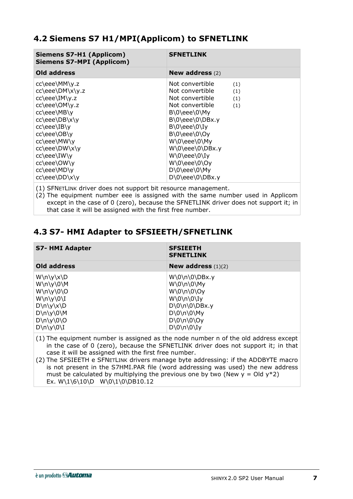## <span id="page-10-0"></span>**4.2 Siemens S7 H1/MPI(Applicom) to SFNETLINK**

| Old address                                                                                                                                                                                                                                                                                                                                                   |                                                                                                                                                                   |
|---------------------------------------------------------------------------------------------------------------------------------------------------------------------------------------------------------------------------------------------------------------------------------------------------------------------------------------------------------------|-------------------------------------------------------------------------------------------------------------------------------------------------------------------|
|                                                                                                                                                                                                                                                                                                                                                               | New address $(2)$                                                                                                                                                 |
| cc\eee\MM\y.z<br>cc\eee\DM\x\y.z<br>cc\eee\IM\y.z<br>cc\eee\OM\y.z<br>cc\eee\MB\y<br>$B\0\eee\0\My$<br>cc\eee\DB\x\y<br>cc\eee\IB\y<br>$B\0\eee\0\Iy$<br>cc\eee\OB\y<br>$B\0\eee\0\Oy$<br>cc\eee\MW\y<br>W\0\eee\0\My<br>cc\eee\DW\x\y<br>cc\eee\IW\y<br>$W(0)$ eee $(0)$ Iy<br>cc\eee\OW\y<br>W\0\eee\0\Oy<br>cc\eee\MD\y<br>$D\0\eee\0\My$<br>cc\eee\DD\x\y | Not convertible<br>(1)<br>Not convertible<br>(1)<br>Not convertible<br>(1)<br>Not convertible<br>(1)<br>$B\O\eee\O\DBx.y$<br>W\0\eee\0\DBx.y<br>$D\0\eee\0\DBx.y$ |

(1) SFNETLINK driver does not support bit resource management.

(2) The equipment number eee is assigned with the same number used in Applicom except in the case of 0 (zero), because the SFNETLINK driver does not support it; in that case it will be assigned with the first free number.

# <span id="page-10-1"></span>**4.3 S7- HMI Adapter to SFSIEETH/SFNETLINK**

| <b>S7- HMI Adapter</b>                                                                                                                                          | <b>SFSIEETH</b><br><b>SFNETLINK</b>                                                                                                     |
|-----------------------------------------------------------------------------------------------------------------------------------------------------------------|-----------------------------------------------------------------------------------------------------------------------------------------|
| Old address                                                                                                                                                     | <b>New address</b> $(1)(2)$                                                                                                             |
| $W\n\langle y\rangle x\langle D$<br>$W\n\wedge y\0$<br>$W\n\vee\vee\vee I$<br>$D\n\langle y\rangle x\nD$<br>$D\n\wedge y\0\$<br>$D\n\ y\ 0\ 0$<br>$D\n\ y\ 0\ $ | $W\0\n\0\DBx.y$<br>W\0\n\0\My<br>W(0/n)0<br>$W\O\n\olimits(0)$<br>$D\0\n\0\Dbx.y$<br>$D\0\n\prime\0\My$<br>$D\0\n\ 0\$<br>$D\0\n\infty$ |

(1) The equipment number is assigned as the node number n of the old address except in the case of 0 (zero), because the SFNETLINK driver does not support it; in that case it will be assigned with the first free number.

(2) The SFSIEETH e SFNETLINK drivers manage byte addressing: if the ADDBYTE macro is not present in the S7HMI.PAR file (word addressing was used) the new address must be calculated by multiplying the previous one by two (New  $y = Old y*2$ ) Ex. W\1\6\10\D W\0\1\0\DB10.12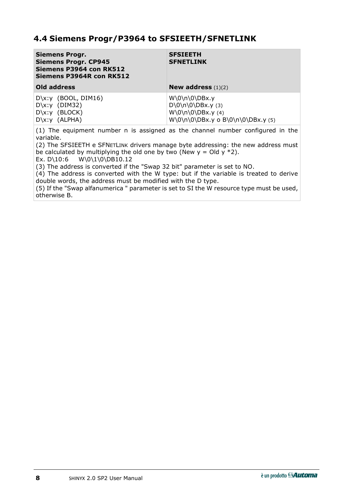## <span id="page-11-0"></span>**4.4 Siemens Progr/P3964 to SFSIEETH/SFNETLINK**

| <b>Siemens Progr.</b><br><b>Siemens Progr. CP945</b><br>Siemens P3964 con RK512<br>Siemens P3964R con RK512 | <b>SFSIEETH</b><br><b>SFNETLINK</b>                                                                    |
|-------------------------------------------------------------------------------------------------------------|--------------------------------------------------------------------------------------------------------|
| Old address                                                                                                 | New address $(1)(2)$                                                                                   |
| $D\x: y$ (BOOL, DIM16)<br>$D\x:y$ (DIM32)<br>$D\x: y$ (BLOCK)<br>$D\x:y$ (ALPHA)                            | $W\0\n\0\DBx.y$<br>$D\0\n\,0\DBx.y(3)$<br>$W\0\n\0\DBx.y(4)$<br>$W\0\n\,0\DBx.y$ o $B\0\n\0\DBx.y$ (5) |

(1) The equipment number n is assigned as the channel number configured in the variable.

(2) The SFSIEETH e SFNETLINK drivers manage byte addressing: the new address must be calculated by multiplying the old one by two (New  $y =$  Old  $y *$ 2).

Ex. D\10:6  $W\0\1\0\DB10.12$ 

(3) The address is converted if the "Swap 32 bit" parameter is set to NO.

(4) The address is converted with the W type: but if the variable is treated to derive double words, the address must be modified with the D type.

(5) If the "Swap alfanumerica " parameter is set to SI the W resource type must be used, otherwise B.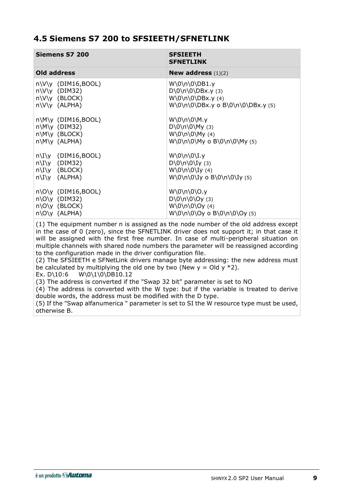### <span id="page-12-0"></span>**4.5 Siemens S7 200 to SFSIEETH/SFNETLINK**

| Siemens S7 200          | <b>SFSIEETH</b><br><b>SFNETLINK</b>     |
|-------------------------|-----------------------------------------|
| Old address             | New address $(1)(2)$                    |
| $n\V\V$ (DIM16,BOOL)    | $W\0\n\0\DB1.y$                         |
| $n\V\V$ (DIM32)         | $D\0\n\,0\DBx.y(3)$                     |
| n\V\y (BLOCK)           | $W\0\n\,0\DBx.y(4)$                     |
| $n\V\V$ (ALPHA)         | W\0\n\0\DBx.y o B\0\n\0\DBx.y (5)       |
| $n\M\y$ (DIM16,BOOL)    | $W\O\n\setminus 0\M. y$                 |
| $n\M\y$ (DIM32)         | $D\0\n\infty$ (3)                       |
| $n\W\$ (BLOCK)          | $W\0\n\langle 0 \rangle My$ (4)         |
| $n\M\y$ (ALPHA)         | W\0\n\0\My o B\0\n\0\My (5)             |
| $n\I\V$ (DIM16,BOOL)    | $W\O\n\setminus 0\I.\mathsf{y}$         |
| $n\I\V$ (DIM32)         | $D\0\n\infty$ (3)                       |
| $n\I\V$ (BLOCK)         | $W\0\n\infty(4)$                        |
| $n\I\V$ (ALPHA)         | W\0\n\0\Iy o B\0\n\0\Iy (5)             |
| $n\,0\,$ y (DIM16,BOOL) | W\0\n\0\O.y                             |
| $n\O\$ (DIM32)          | $D\0\n\backslash 0\O\n\backslash 0$ (3) |
| $n\O(y \text{ (BLOCK)}$ | $W\0\n\0\0\0$ (4)                       |
| $n\O\ y$ (ALPHA)        | W\0\n\0\Oy o B\0\n\0\Oy (5)             |

(1) The equipment number n is assigned as the node number of the old address except in the case of 0 (zero), since the SFNETLINK driver does not support it; in that case it will be assigned with the first free number. In case of multi-peripheral situation on multiple channels with shared node numbers the parameter will be reassigned according to the configuration made in the driver configuration file.

(2) The SFSIEETH e SFNetLink drivers manage byte addressing: the new address must be calculated by multiplying the old one by two (New  $y =$  Old  $y *2$ ).

Ex. D\10:6 W\0\1\0\DB10.12

(3) The address is converted if the "Swap 32 bit" parameter is set to NO

(4) The address is converted with the W type: but if the variable is treated to derive double words, the address must be modified with the D type.

(5) If the "Swap alfanumerica " parameter is set to SI the W resource type must be used, otherwise B.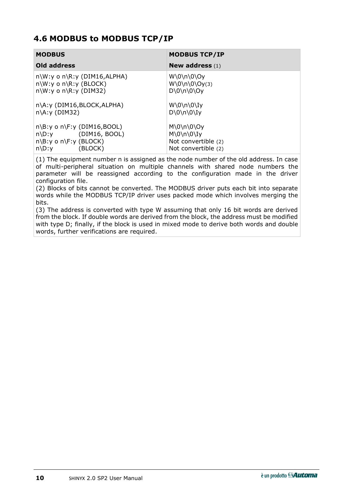## <span id="page-13-0"></span>**4.6 MODBUS to MODBUS TCP/IP**

| <b>MODBUS</b>                                                                                                                                              | <b>MODBUS TCP/IP</b>                                                                          |
|------------------------------------------------------------------------------------------------------------------------------------------------------------|-----------------------------------------------------------------------------------------------|
| Old address                                                                                                                                                | New address $(1)$                                                                             |
| $n\W: y \circ n\R: y \text{ (DIM16,ALPHA)}$<br>$n\W: y \circ n\R: y \text{ (BLOCK)}$<br>$n\W: y \circ n\R: y \text{ (DIM32)}$<br>n\A:y (DIM16,BLOCK,ALPHA) | $W\0\n\langle 0\rangle 0$<br>$W\0\n\0\0\O$<br>$D\0\n\infty$<br>$W\O\n\olimits$                |
| $n\A: y (DIM32)$<br>$n\$ : y o n\: $y (DIM16, BOOL)$<br>$n\$ : y (DIM16, BOOL)<br>$n\$ : y o n\: y (BLOCK)<br>(BLOCK)<br>$n\$ :y                           | $D\0\n\infty$<br>$M\0\n\infty$<br>$M\0\n\infty$<br>Not convertible (2)<br>Not convertible (2) |

(1) The equipment number n is assigned as the node number of the old address. In case of multi-peripheral situation on multiple channels with shared node numbers the parameter will be reassigned according to the configuration made in the driver configuration file.

(2) Blocks of bits cannot be converted. The MODBUS driver puts each bit into separate words while the MODBUS TCP/IP driver uses packed mode which involves merging the bits.

(3) The address is converted with type W assuming that only 16 bit words are derived from the block. If double words are derived from the block, the address must be modified with type D; finally, if the block is used in mixed mode to derive both words and double words, further verifications are required.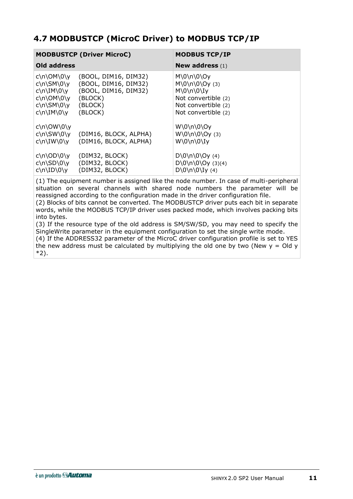# <span id="page-14-0"></span>**4.7 MODBUSTCP (MicroC Driver) to MODBUS TCP/IP**

|                                                                                                             | <b>MODBUSTCP (Driver MicroC)</b>                                                                      | <b>MODBUS TCP/IP</b>                                                                                                           |
|-------------------------------------------------------------------------------------------------------------|-------------------------------------------------------------------------------------------------------|--------------------------------------------------------------------------------------------------------------------------------|
| Old address                                                                                                 |                                                                                                       | New address $(1)$                                                                                                              |
| $c \n\Omega$<br>$c\n\N\SM\0\y$<br>c\n\IM\0\y<br>$c\n\Omega\Omega\right)$<br>$c\n\N\SM\0\y$<br>$c\ln\Im M\O$ | (BOOL, DIM16, DIM32)<br>(BOOL, DIM16, DIM32)<br>(BOOL, DIM16, DIM32)<br>(BLOCK)<br>(BLOCK)<br>(BLOCK) | $M\0\n\0\$<br>$M\0\n\backslash 0\O$ (3)<br>$M\0\n\0\U$<br>Not convertible (2)<br>Not convertible (2)<br>Not convertible (2)    |
| $c \n\Omega \downarrow 0$<br>$c \n\N \SW(0)$<br>$c\ln\IW\0\$<br>$c \n\Omega$<br>$c \n\Omega(SD\0\$          | (DIM16, BLOCK, ALPHA)<br>(DIM16, BLOCK, ALPHA)<br>(DIM32, BLOCK)<br>(DIM32, BLOCK)                    | W\0\n\0\Oy<br>$W\0\n\langle 0\rangle Oy$ (3)<br>$W\0\n\infty$<br>$D\0\n\langle 0\rangle Oy(4)$<br>$D\0\n\backslash 0\O$ (3)(4) |
| $c \n\ID\0\y$                                                                                               | (DIM32, BLOCK)                                                                                        | $D\0\n\infty(4)$                                                                                                               |

(1) The equipment number is assigned like the node number. In case of multi-peripheral situation on several channels with shared node numbers the parameter will be reassigned according to the configuration made in the driver configuration file. (2) Blocks of bits cannot be converted. The MODBUSTCP driver puts each bit in separate

words, while the MODBUS TCP/IP driver uses packed mode, which involves packing bits into bytes.

(3) If the resource type of the old address is SM/SW/SD, you may need to specify the SingleWrite parameter in the equipment configuration to set the single write mode. (4) If the ADDRESS32 parameter of the MicroC driver configuration profile is set to YES the new address must be calculated by multiplying the old one by two (New  $y =$  Old y \*2).